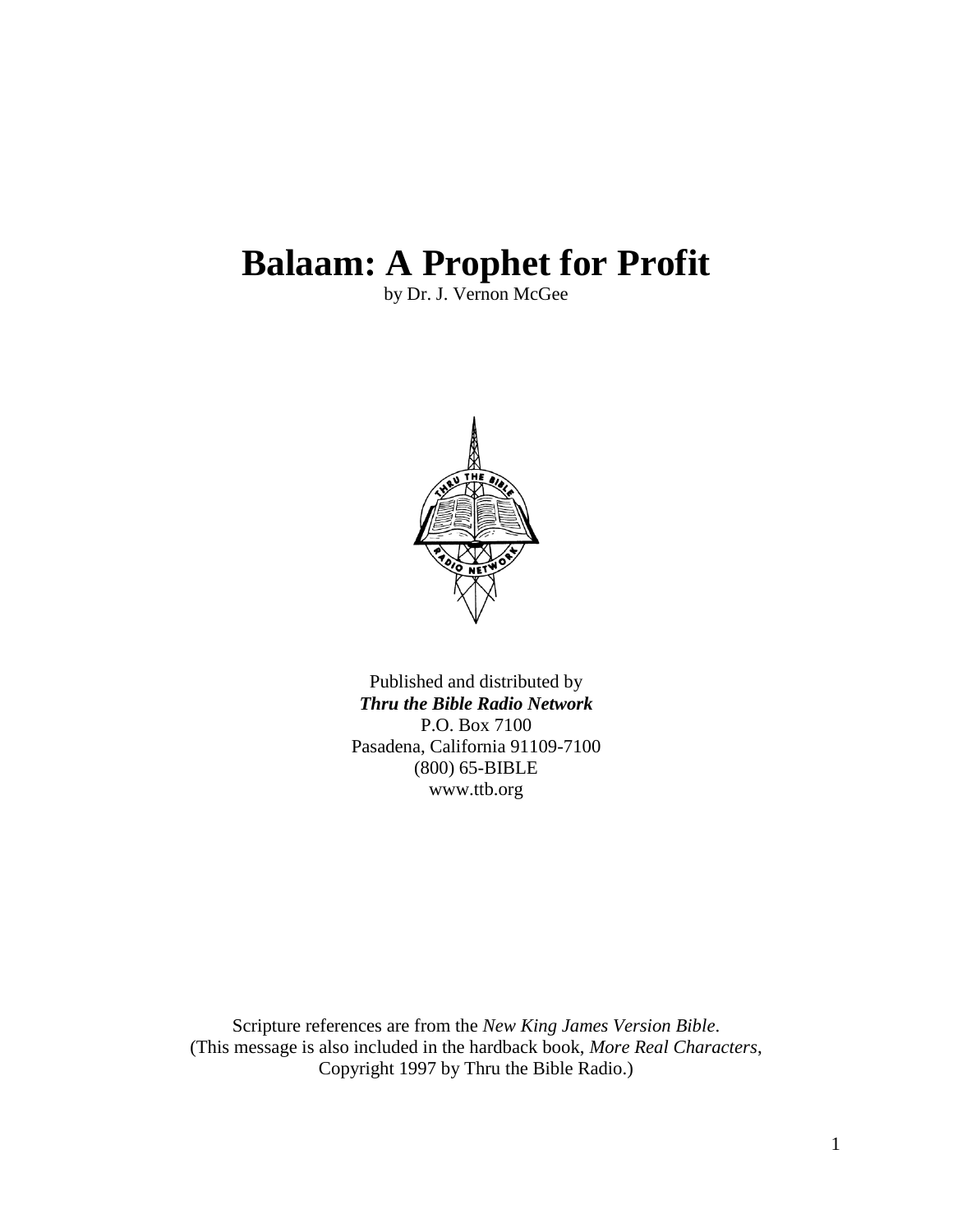# **Balaam: A Prophet for Profit**

by Dr. J. Vernon McGee



Published and distributed by *Thru the Bible Radio Network* P.O. Box 7100 Pasadena, California 91109-7100 (800) 65-BIBLE www.ttb.org

Scripture references are from the *New King James Version Bible*. (This message is also included in the hardback book, *More Real Characters*, Copyright 1997 by Thru the Bible Radio.)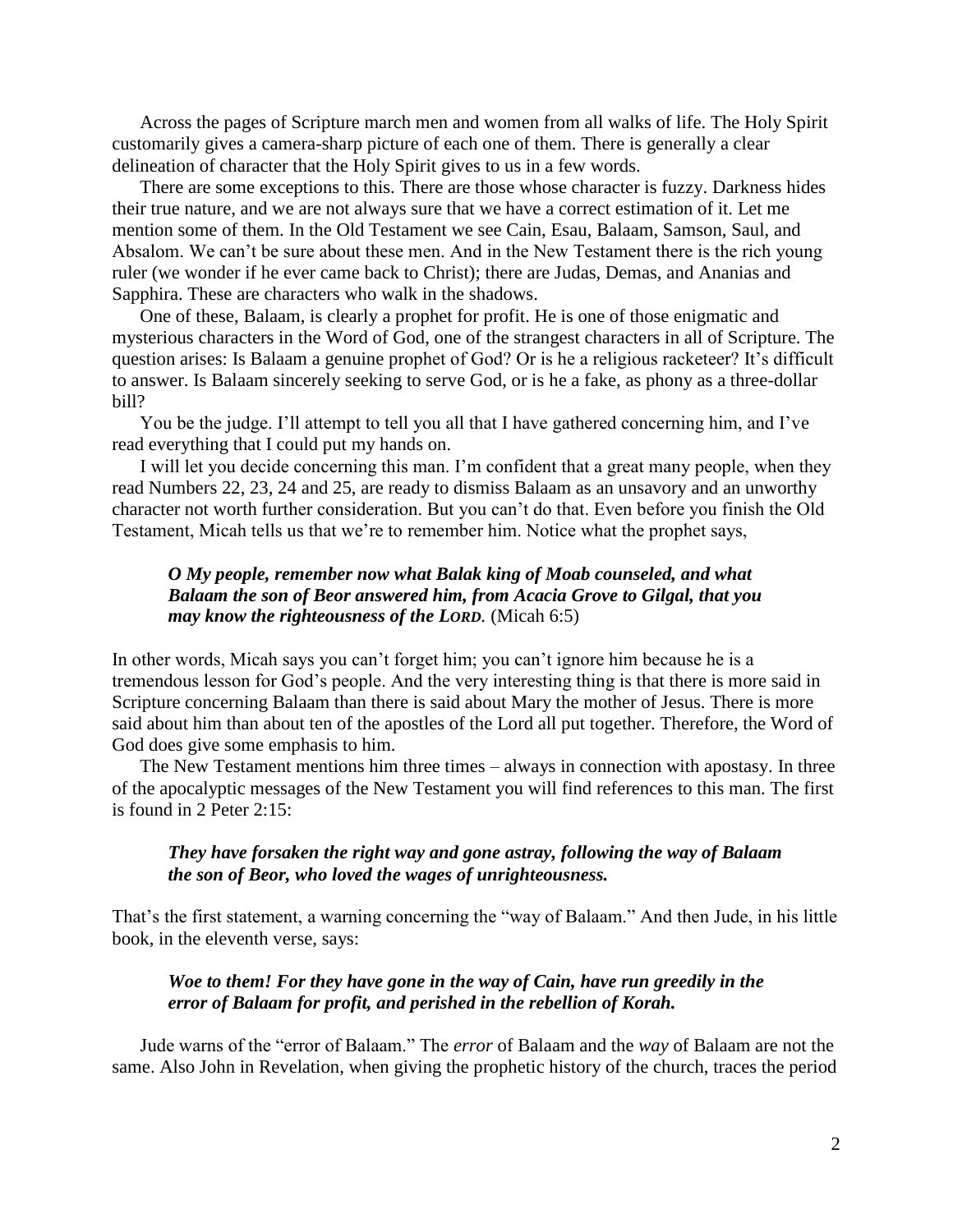Across the pages of Scripture march men and women from all walks of life. The Holy Spirit customarily gives a camera-sharp picture of each one of them. There is generally a clear delineation of character that the Holy Spirit gives to us in a few words.

There are some exceptions to this. There are those whose character is fuzzy. Darkness hides their true nature, and we are not always sure that we have a correct estimation of it. Let me mention some of them. In the Old Testament we see Cain, Esau, Balaam, Samson, Saul, and Absalom. We can't be sure about these men. And in the New Testament there is the rich young ruler (we wonder if he ever came back to Christ); there are Judas, Demas, and Ananias and Sapphira. These are characters who walk in the shadows.

One of these, Balaam, is clearly a prophet for profit. He is one of those enigmatic and mysterious characters in the Word of God, one of the strangest characters in all of Scripture. The question arises: Is Balaam a genuine prophet of God? Or is he a religious racketeer? It's difficult to answer. Is Balaam sincerely seeking to serve God, or is he a fake, as phony as a three-dollar bill?

You be the judge. I'll attempt to tell you all that I have gathered concerning him, and I've read everything that I could put my hands on.

I will let you decide concerning this man. I'm confident that a great many people, when they read Numbers 22, 23, 24 and 25, are ready to dismiss Balaam as an unsavory and an unworthy character not worth further consideration. But you can't do that. Even before you finish the Old Testament, Micah tells us that we're to remember him. Notice what the prophet says,

# *O My people, remember now what Balak king of Moab counseled, and what Balaam the son of Beor answered him, from Acacia Grove to Gilgal, that you may know the righteousness of the LORD.* (Micah 6:5)

In other words, Micah says you can't forget him; you can't ignore him because he is a tremendous lesson for God's people. And the very interesting thing is that there is more said in Scripture concerning Balaam than there is said about Mary the mother of Jesus. There is more said about him than about ten of the apostles of the Lord all put together. Therefore, the Word of God does give some emphasis to him.

The New Testament mentions him three times – always in connection with apostasy. In three of the apocalyptic messages of the New Testament you will find references to this man. The first is found in 2 Peter 2:15:

## *They have forsaken the right way and gone astray, following the way of Balaam the son of Beor, who loved the wages of unrighteousness.*

That's the first statement, a warning concerning the "way of Balaam." And then Jude, in his little book, in the eleventh verse, says:

## *Woe to them! For they have gone in the way of Cain, have run greedily in the error of Balaam for profit, and perished in the rebellion of Korah.*

Jude warns of the "error of Balaam." The *error* of Balaam and the *way* of Balaam are not the same. Also John in Revelation, when giving the prophetic history of the church, traces the period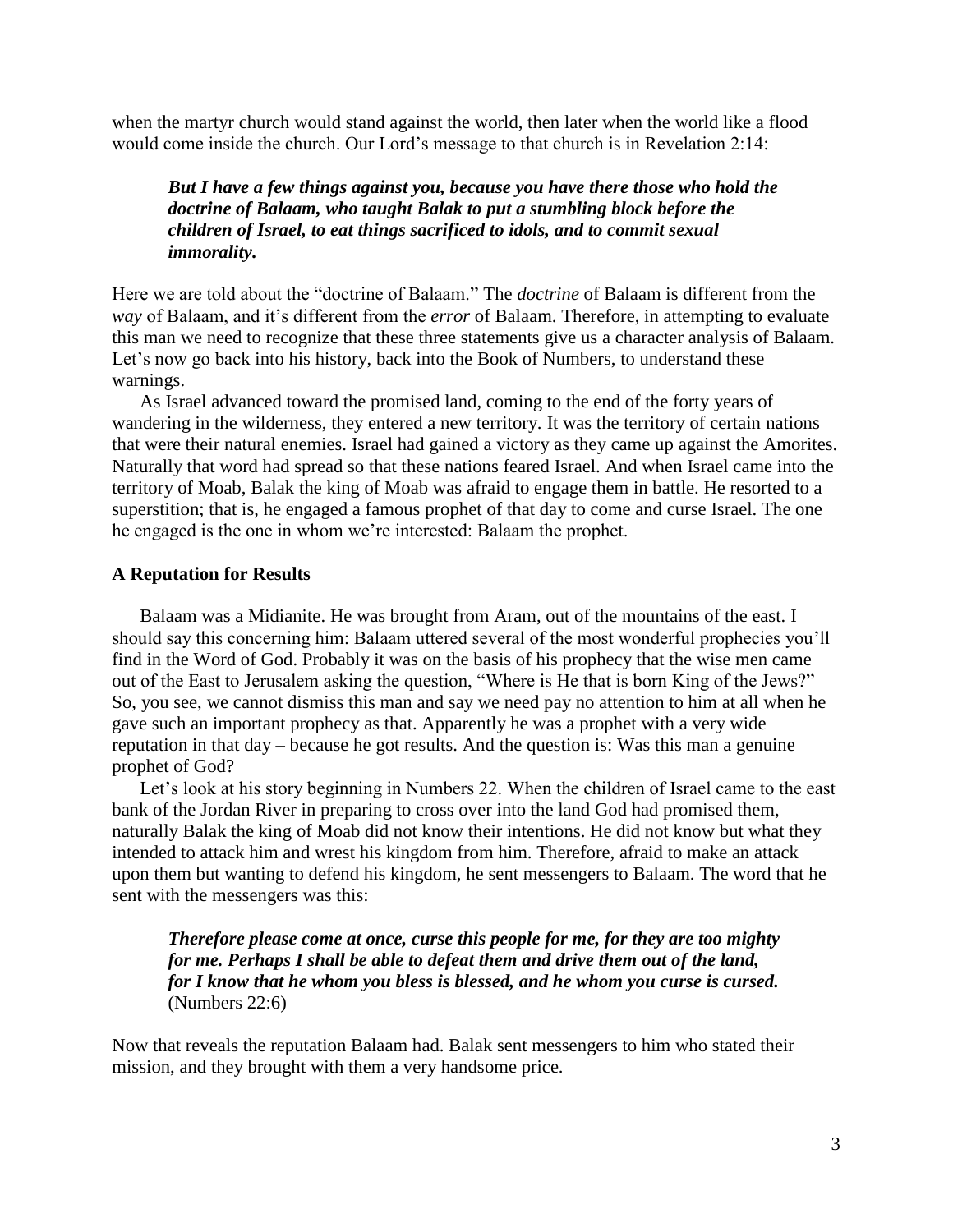when the martyr church would stand against the world, then later when the world like a flood would come inside the church. Our Lord's message to that church is in Revelation 2:14:

# *But I have a few things against you, because you have there those who hold the doctrine of Balaam, who taught Balak to put a stumbling block before the children of Israel, to eat things sacrificed to idols, and to commit sexual immorality.*

Here we are told about the "doctrine of Balaam." The *doctrine* of Balaam is different from the *way* of Balaam, and it's different from the *error* of Balaam. Therefore, in attempting to evaluate this man we need to recognize that these three statements give us a character analysis of Balaam. Let's now go back into his history, back into the Book of Numbers, to understand these warnings.

As Israel advanced toward the promised land, coming to the end of the forty years of wandering in the wilderness, they entered a new territory. It was the territory of certain nations that were their natural enemies. Israel had gained a victory as they came up against the Amorites. Naturally that word had spread so that these nations feared Israel. And when Israel came into the territory of Moab, Balak the king of Moab was afraid to engage them in battle. He resorted to a superstition; that is, he engaged a famous prophet of that day to come and curse Israel. The one he engaged is the one in whom we're interested: Balaam the prophet.

#### **A Reputation for Results**

Balaam was a Midianite. He was brought from Aram, out of the mountains of the east. I should say this concerning him: Balaam uttered several of the most wonderful prophecies you'll find in the Word of God. Probably it was on the basis of his prophecy that the wise men came out of the East to Jerusalem asking the question, "Where is He that is born King of the Jews?" So, you see, we cannot dismiss this man and say we need pay no attention to him at all when he gave such an important prophecy as that. Apparently he was a prophet with a very wide reputation in that day – because he got results. And the question is: Was this man a genuine prophet of God?

Let's look at his story beginning in Numbers 22. When the children of Israel came to the east bank of the Jordan River in preparing to cross over into the land God had promised them, naturally Balak the king of Moab did not know their intentions. He did not know but what they intended to attack him and wrest his kingdom from him. Therefore, afraid to make an attack upon them but wanting to defend his kingdom, he sent messengers to Balaam. The word that he sent with the messengers was this:

*Therefore please come at once, curse this people for me, for they are too mighty for me. Perhaps I shall be able to defeat them and drive them out of the land, for I know that he whom you bless is blessed, and he whom you curse is cursed.* (Numbers 22:6)

Now that reveals the reputation Balaam had. Balak sent messengers to him who stated their mission, and they brought with them a very handsome price.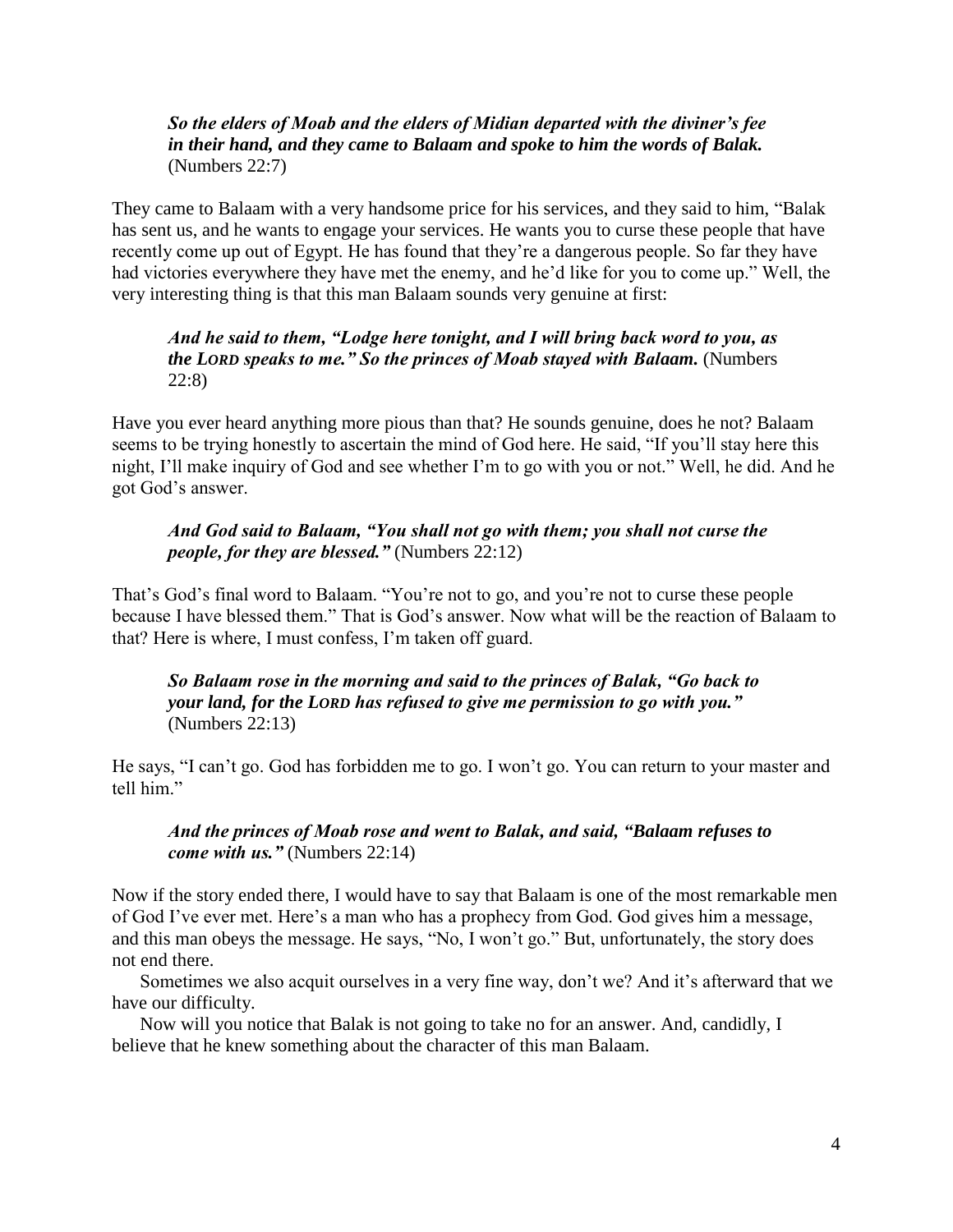## *So the elders of Moab and the elders of Midian departed with the diviner"s fee in their hand, and they came to Balaam and spoke to him the words of Balak.* (Numbers 22:7)

They came to Balaam with a very handsome price for his services, and they said to him, "Balak has sent us, and he wants to engage your services. He wants you to curse these people that have recently come up out of Egypt. He has found that they're a dangerous people. So far they have had victories everywhere they have met the enemy, and he'd like for you to come up." Well, the very interesting thing is that this man Balaam sounds very genuine at first:

# *And he said to them, "Lodge here tonight, and I will bring back word to you, as the LORD speaks to me." So the princes of Moab stayed with Balaam.* (Numbers 22:8)

Have you ever heard anything more pious than that? He sounds genuine, does he not? Balaam seems to be trying honestly to ascertain the mind of God here. He said, "If you'll stay here this night, I'll make inquiry of God and see whether I'm to go with you or not." Well, he did. And he got God's answer.

# *And God said to Balaam, "You shall not go with them; you shall not curse the people, for they are blessed."* (Numbers 22:12)

That's God's final word to Balaam. "You're not to go, and you're not to curse these people because I have blessed them." That is God's answer. Now what will be the reaction of Balaam to that? Here is where, I must confess, I'm taken off guard.

# *So Balaam rose in the morning and said to the princes of Balak, "Go back to your land, for the LORD has refused to give me permission to go with you."* (Numbers 22:13)

He says, "I can't go. God has forbidden me to go. I won't go. You can return to your master and tell him"

## *And the princes of Moab rose and went to Balak, and said, "Balaam refuses to come with us."* (Numbers 22:14)

Now if the story ended there, I would have to say that Balaam is one of the most remarkable men of God I've ever met. Here's a man who has a prophecy from God. God gives him a message, and this man obeys the message. He says, "No, I won't go." But, unfortunately, the story does not end there.

Sometimes we also acquit ourselves in a very fine way, don't we? And it's afterward that we have our difficulty.

Now will you notice that Balak is not going to take no for an answer. And, candidly, I believe that he knew something about the character of this man Balaam.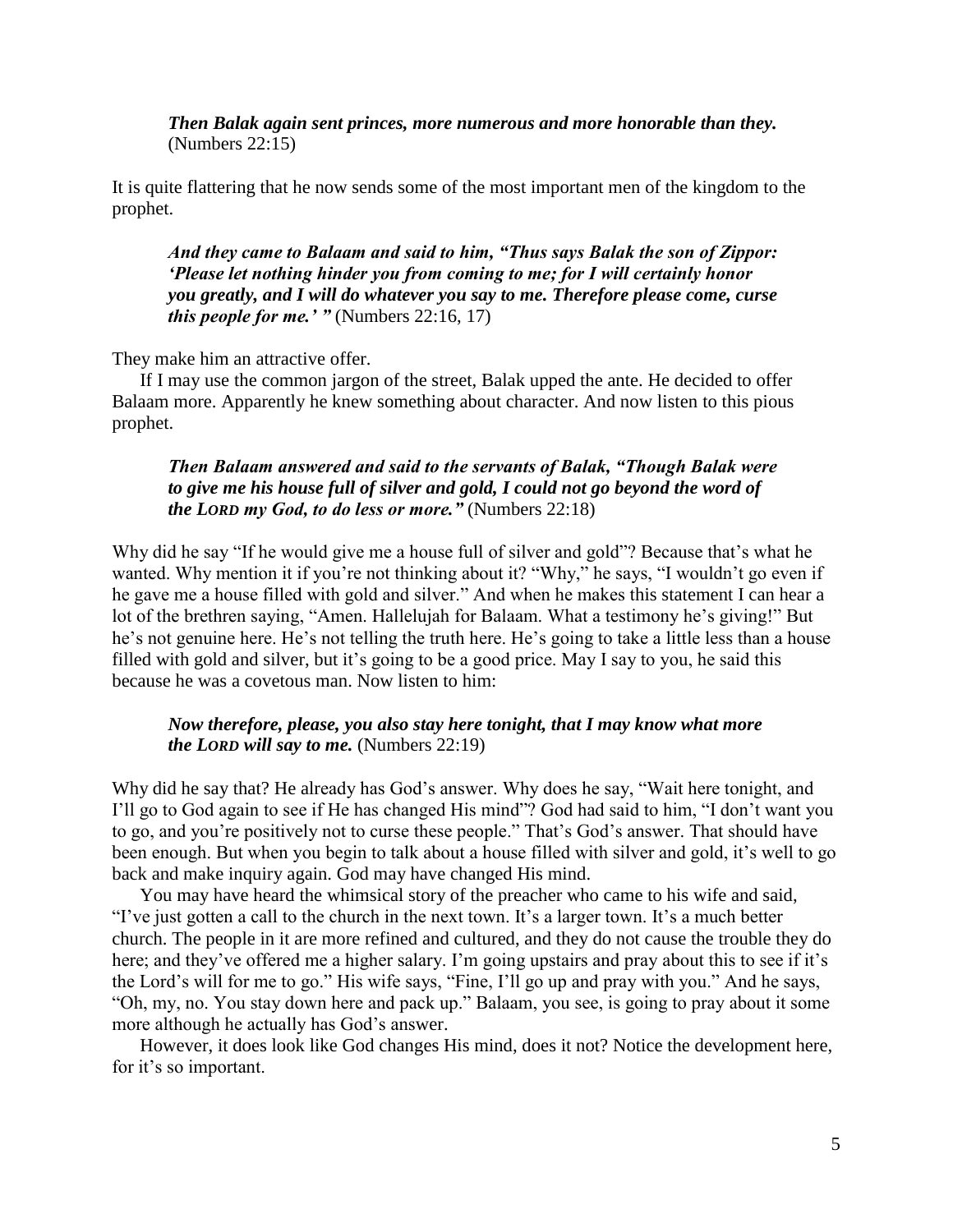*Then Balak again sent princes, more numerous and more honorable than they.* (Numbers 22:15)

It is quite flattering that he now sends some of the most important men of the kingdom to the prophet.

*And they came to Balaam and said to him, "Thus says Balak the son of Zippor: "Please let nothing hinder you from coming to me; for I will certainly honor you greatly, and I will do whatever you say to me. Therefore please come, curse this people for me." "* (Numbers 22:16, 17)

They make him an attractive offer.

If I may use the common jargon of the street, Balak upped the ante. He decided to offer Balaam more. Apparently he knew something about character. And now listen to this pious prophet.

## *Then Balaam answered and said to the servants of Balak, "Though Balak were to give me his house full of silver and gold, I could not go beyond the word of the LORD my God, to do less or more."* (Numbers 22:18)

Why did he say "If he would give me a house full of silver and gold"? Because that's what he wanted. Why mention it if you're not thinking about it? "Why," he says, "I wouldn't go even if he gave me a house filled with gold and silver." And when he makes this statement I can hear a lot of the brethren saying, "Amen. Hallelujah for Balaam. What a testimony he's giving!" But he's not genuine here. He's not telling the truth here. He's going to take a little less than a house filled with gold and silver, but it's going to be a good price. May I say to you, he said this because he was a covetous man. Now listen to him:

#### *Now therefore, please, you also stay here tonight, that I may know what more the LORD will say to me.* (Numbers 22:19)

Why did he say that? He already has God's answer. Why does he say, "Wait here tonight, and I'll go to God again to see if He has changed His mind"? God had said to him, "I don't want you to go, and you're positively not to curse these people." That's God's answer. That should have been enough. But when you begin to talk about a house filled with silver and gold, it's well to go back and make inquiry again. God may have changed His mind.

You may have heard the whimsical story of the preacher who came to his wife and said, "I've just gotten a call to the church in the next town. It's a larger town. It's a much better church. The people in it are more refined and cultured, and they do not cause the trouble they do here; and they've offered me a higher salary. I'm going upstairs and pray about this to see if it's the Lord's will for me to go." His wife says, "Fine, I'll go up and pray with you." And he says, "Oh, my, no. You stay down here and pack up." Balaam, you see, is going to pray about it some more although he actually has God's answer.

However, it does look like God changes His mind, does it not? Notice the development here, for it's so important.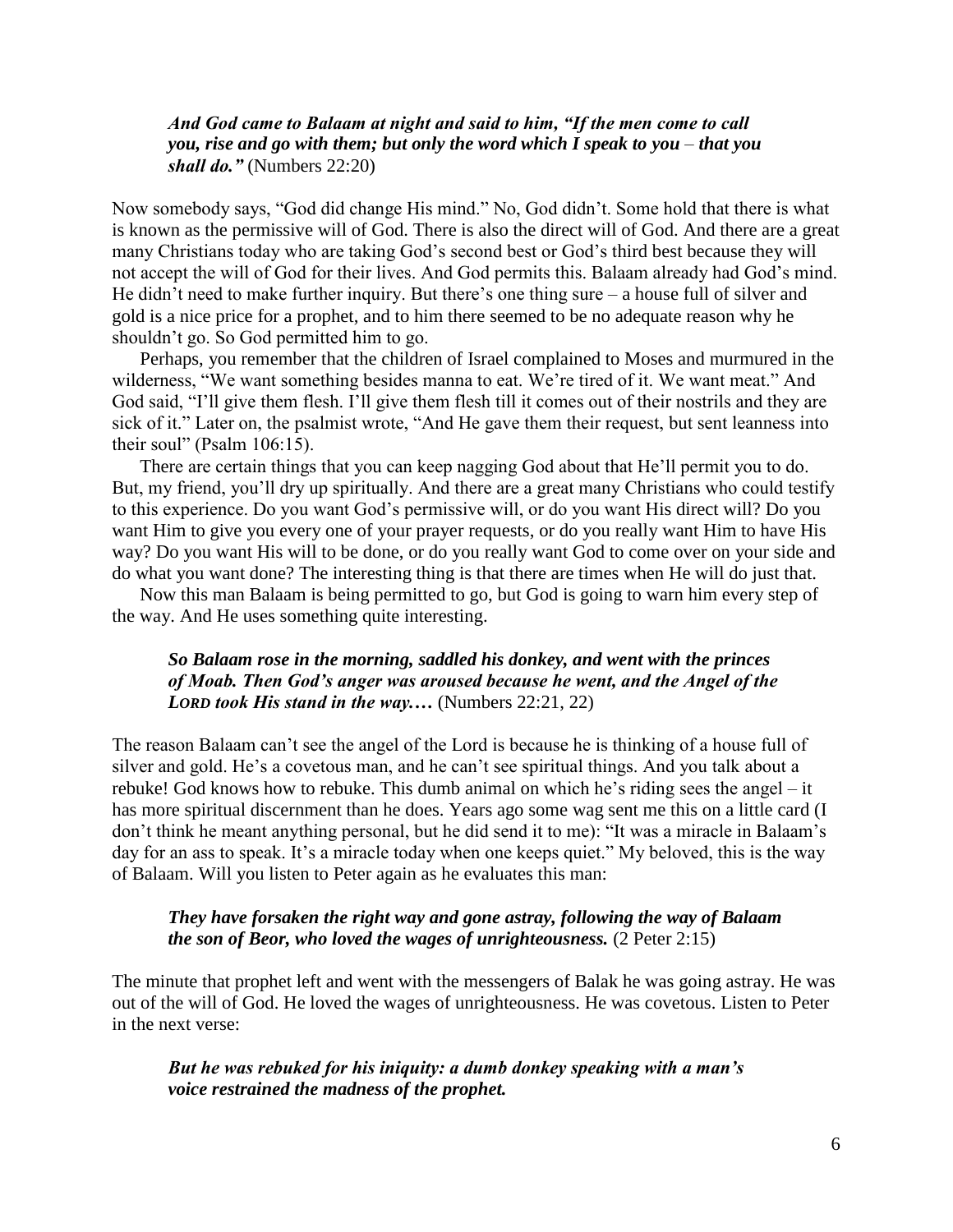## *And God came to Balaam at night and said to him, "If the men come to call you, rise and go with them; but only the word which I speak to you – that you shall do."* (Numbers 22:20)

Now somebody says, "God did change His mind." No, God didn't. Some hold that there is what is known as the permissive will of God. There is also the direct will of God. And there are a great many Christians today who are taking God's second best or God's third best because they will not accept the will of God for their lives. And God permits this. Balaam already had God's mind. He didn't need to make further inquiry. But there's one thing sure  $-$  a house full of silver and gold is a nice price for a prophet, and to him there seemed to be no adequate reason why he shouldn't go. So God permitted him to go.

Perhaps, you remember that the children of Israel complained to Moses and murmured in the wilderness, "We want something besides manna to eat. We're tired of it. We want meat." And God said, "I'll give them flesh. I'll give them flesh till it comes out of their nostrils and they are sick of it." Later on, the psalmist wrote, "And He gave them their request, but sent leanness into their soul" (Psalm 106:15).

There are certain things that you can keep nagging God about that He'll permit you to do. But, my friend, you'll dry up spiritually. And there are a great many Christians who could testify to this experience. Do you want God's permissive will, or do you want His direct will? Do you want Him to give you every one of your prayer requests, or do you really want Him to have His way? Do you want His will to be done, or do you really want God to come over on your side and do what you want done? The interesting thing is that there are times when He will do just that.

Now this man Balaam is being permitted to go, but God is going to warn him every step of the way. And He uses something quite interesting.

## *So Balaam rose in the morning, saddled his donkey, and went with the princes of Moab. Then God"s anger was aroused because he went, and the Angel of the LORD took His stand in the way.…* (Numbers 22:21, 22)

The reason Balaam can't see the angel of the Lord is because he is thinking of a house full of silver and gold. He's a covetous man, and he can't see spiritual things. And you talk about a rebuke! God knows how to rebuke. This dumb animal on which he's riding sees the angel – it has more spiritual discernment than he does. Years ago some wag sent me this on a little card (I don't think he meant anything personal, but he did send it to me): "It was a miracle in Balaam's day for an ass to speak. It's a miracle today when one keeps quiet." My beloved, this is the way of Balaam. Will you listen to Peter again as he evaluates this man:

### *They have forsaken the right way and gone astray, following the way of Balaam the son of Beor, who loved the wages of unrighteousness.* (2 Peter 2:15)

The minute that prophet left and went with the messengers of Balak he was going astray. He was out of the will of God. He loved the wages of unrighteousness. He was covetous. Listen to Peter in the next verse:

*But he was rebuked for his iniquity: a dumb donkey speaking with a man"s voice restrained the madness of the prophet.*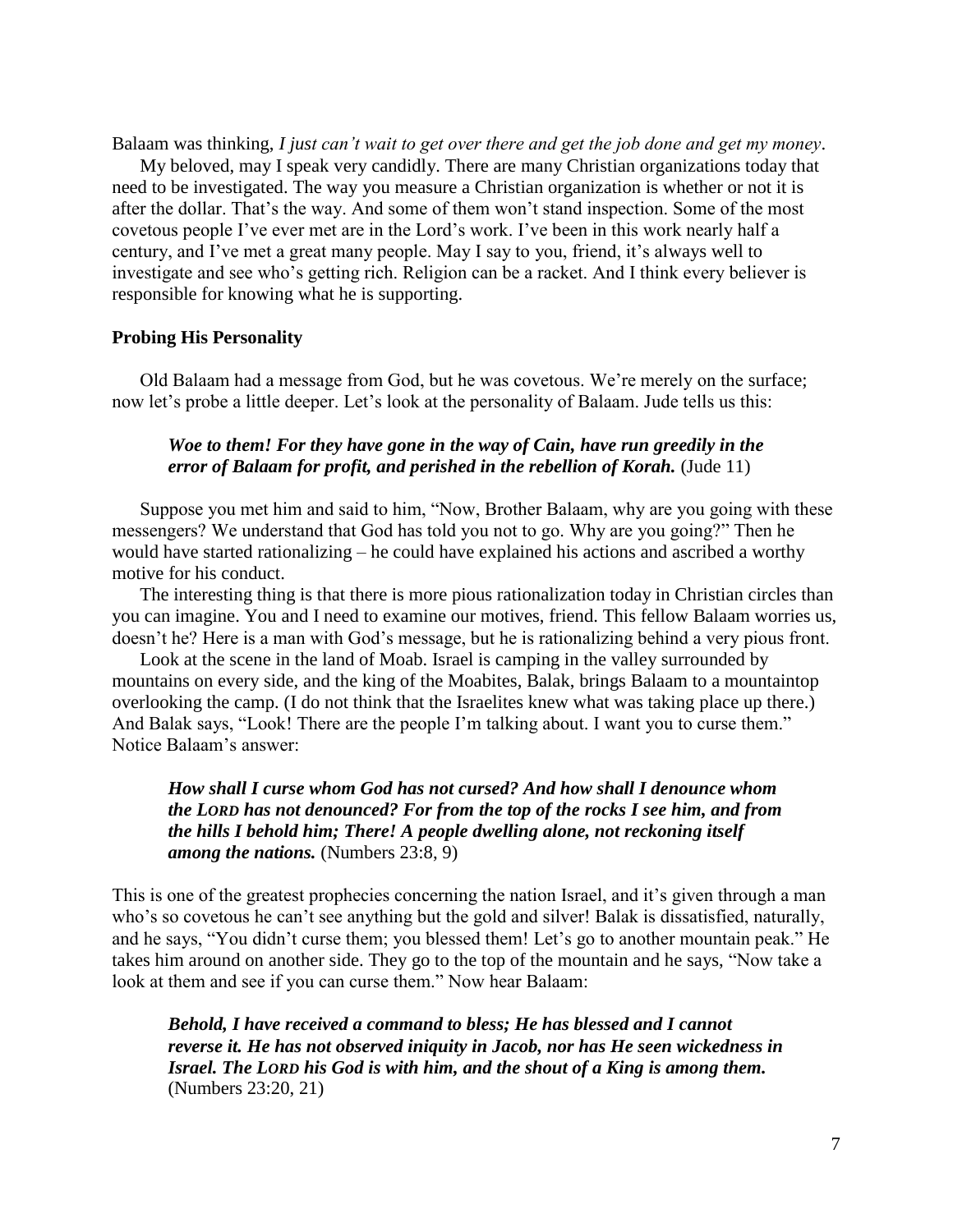Balaam was thinking, *I just can't wait to get over there and get the job done and get my money*.

My beloved, may I speak very candidly. There are many Christian organizations today that need to be investigated. The way you measure a Christian organization is whether or not it is after the dollar. That's the way. And some of them won't stand inspection. Some of the most covetous people I've ever met are in the Lord's work. I've been in this work nearly half a century, and I've met a great many people. May I say to you, friend, it's always well to investigate and see who's getting rich. Religion can be a racket. And I think every believer is responsible for knowing what he is supporting.

#### **Probing His Personality**

Old Balaam had a message from God, but he was covetous. We're merely on the surface; now let's probe a little deeper. Let's look at the personality of Balaam. Jude tells us this:

## *Woe to them! For they have gone in the way of Cain, have run greedily in the error of Balaam for profit, and perished in the rebellion of Korah.* (Jude 11)

Suppose you met him and said to him, "Now, Brother Balaam, why are you going with these messengers? We understand that God has told you not to go. Why are you going?" Then he would have started rationalizing – he could have explained his actions and ascribed a worthy motive for his conduct.

The interesting thing is that there is more pious rationalization today in Christian circles than you can imagine. You and I need to examine our motives, friend. This fellow Balaam worries us, doesn't he? Here is a man with God's message, but he is rationalizing behind a very pious front.

Look at the scene in the land of Moab. Israel is camping in the valley surrounded by mountains on every side, and the king of the Moabites, Balak, brings Balaam to a mountaintop overlooking the camp. (I do not think that the Israelites knew what was taking place up there.) And Balak says, "Look! There are the people I'm talking about. I want you to curse them." Notice Balaam's answer:

## *How shall I curse whom God has not cursed? And how shall I denounce whom the LORD has not denounced? For from the top of the rocks I see him, and from the hills I behold him; There! A people dwelling alone, not reckoning itself among the nations.* (Numbers 23:8, 9)

This is one of the greatest prophecies concerning the nation Israel, and it's given through a man who's so covetous he can't see anything but the gold and silver! Balak is dissatisfied, naturally, and he says, "You didn't curse them; you blessed them! Let's go to another mountain peak." He takes him around on another side. They go to the top of the mountain and he says, "Now take a look at them and see if you can curse them." Now hear Balaam:

*Behold, I have received a command to bless; He has blessed and I cannot reverse it. He has not observed iniquity in Jacob, nor has He seen wickedness in Israel. The LORD his God is with him, and the shout of a King is among them.* (Numbers 23:20, 21)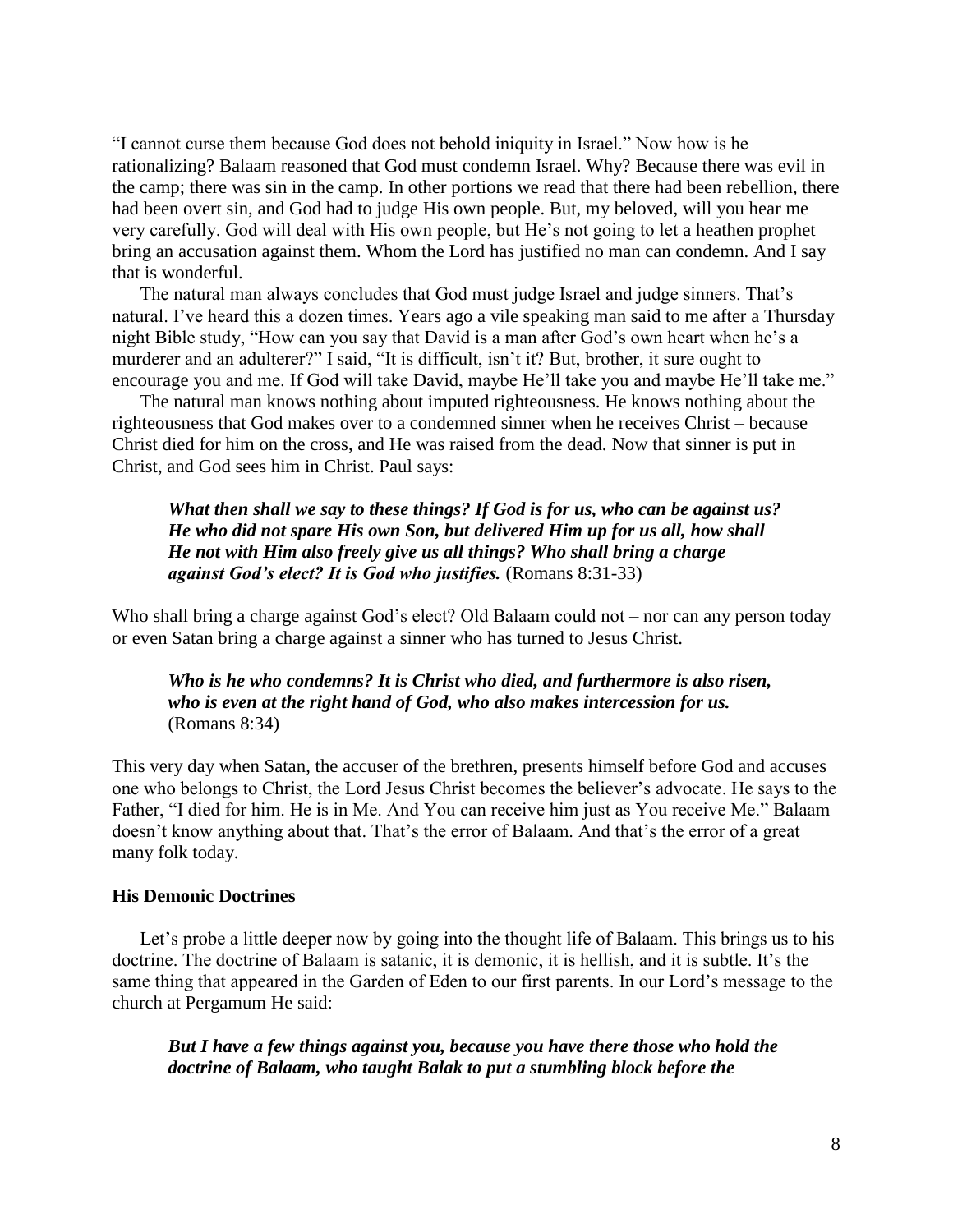"I cannot curse them because God does not behold iniquity in Israel." Now how is he rationalizing? Balaam reasoned that God must condemn Israel. Why? Because there was evil in the camp; there was sin in the camp. In other portions we read that there had been rebellion, there had been overt sin, and God had to judge His own people. But, my beloved, will you hear me very carefully. God will deal with His own people, but He's not going to let a heathen prophet bring an accusation against them. Whom the Lord has justified no man can condemn. And I say that is wonderful.

The natural man always concludes that God must judge Israel and judge sinners. That's natural. I've heard this a dozen times. Years ago a vile speaking man said to me after a Thursday night Bible study, "How can you say that David is a man after God's own heart when he's a murderer and an adulterer?" I said, "It is difficult, isn't it? But, brother, it sure ought to encourage you and me. If God will take David, maybe He'll take you and maybe He'll take me."

The natural man knows nothing about imputed righteousness. He knows nothing about the righteousness that God makes over to a condemned sinner when he receives Christ – because Christ died for him on the cross, and He was raised from the dead. Now that sinner is put in Christ, and God sees him in Christ. Paul says:

*What then shall we say to these things? If God is for us, who can be against us? He who did not spare His own Son, but delivered Him up for us all, how shall He not with Him also freely give us all things? Who shall bring a charge against God"s elect? It is God who justifies.* (Romans 8:31-33)

Who shall bring a charge against God's elect? Old Balaam could not – nor can any person today or even Satan bring a charge against a sinner who has turned to Jesus Christ.

## *Who is he who condemns? It is Christ who died, and furthermore is also risen, who is even at the right hand of God, who also makes intercession for us.* (Romans 8:34)

This very day when Satan, the accuser of the brethren, presents himself before God and accuses one who belongs to Christ, the Lord Jesus Christ becomes the believer's advocate. He says to the Father, "I died for him. He is in Me. And You can receive him just as You receive Me." Balaam doesn't know anything about that. That's the error of Balaam. And that's the error of a great many folk today.

#### **His Demonic Doctrines**

Let's probe a little deeper now by going into the thought life of Balaam. This brings us to his doctrine. The doctrine of Balaam is satanic, it is demonic, it is hellish, and it is subtle. It's the same thing that appeared in the Garden of Eden to our first parents. In our Lord's message to the church at Pergamum He said:

*But I have a few things against you, because you have there those who hold the doctrine of Balaam, who taught Balak to put a stumbling block before the*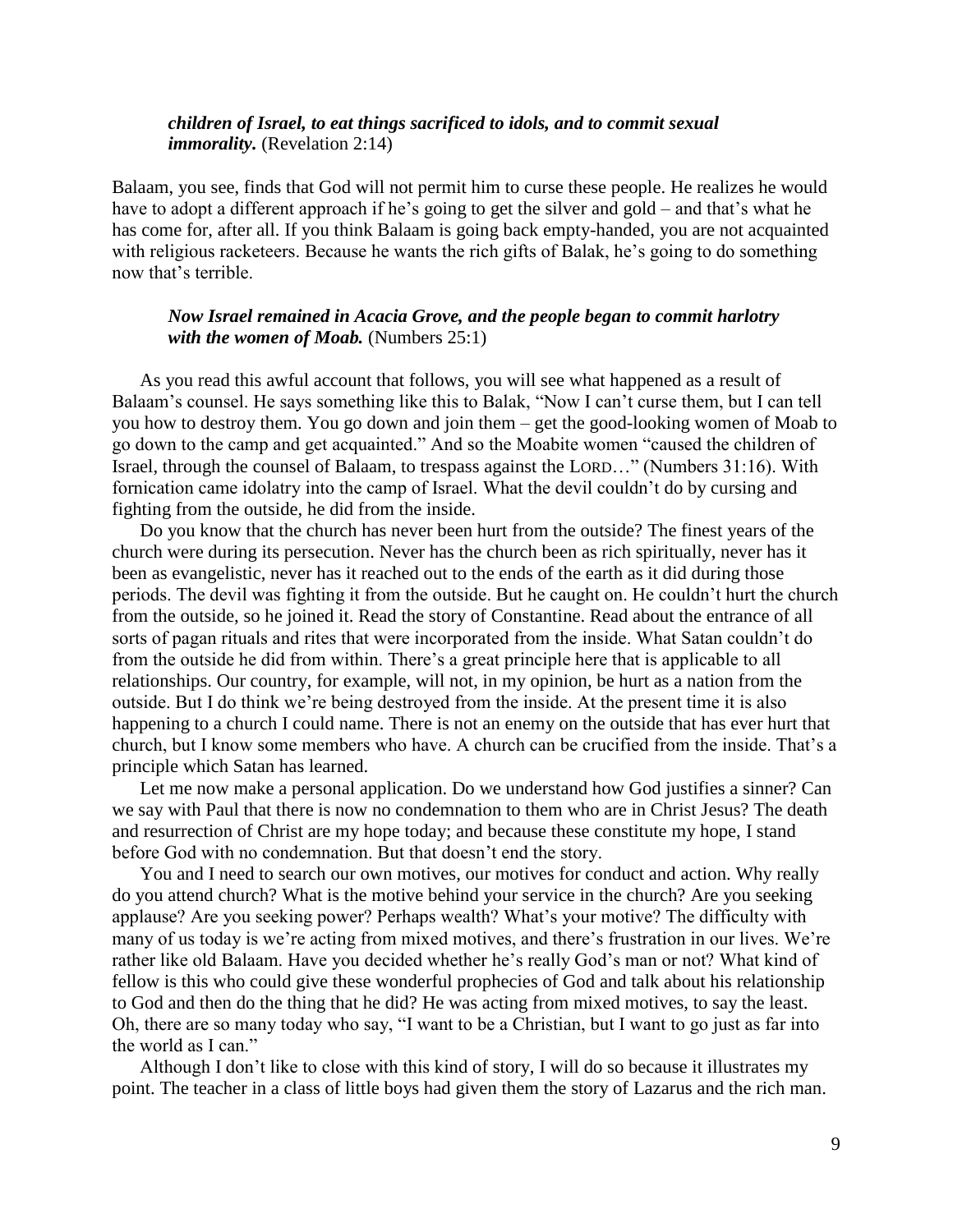## *children of Israel, to eat things sacrificed to idols, and to commit sexual immorality.* (Revelation 2:14)

Balaam, you see, finds that God will not permit him to curse these people. He realizes he would have to adopt a different approach if he's going to get the silver and gold – and that's what he has come for, after all. If you think Balaam is going back empty-handed, you are not acquainted with religious racketeers. Because he wants the rich gifts of Balak, he's going to do something now that's terrible.

#### *Now Israel remained in Acacia Grove, and the people began to commit harlotry with the women of Moab.* (Numbers 25:1)

As you read this awful account that follows, you will see what happened as a result of Balaam's counsel. He says something like this to Balak, "Now I can't curse them, but I can tell you how to destroy them. You go down and join them – get the good-looking women of Moab to go down to the camp and get acquainted." And so the Moabite women "caused the children of Israel, through the counsel of Balaam, to trespass against the LORD…" (Numbers 31:16). With fornication came idolatry into the camp of Israel. What the devil couldn't do by cursing and fighting from the outside, he did from the inside.

Do you know that the church has never been hurt from the outside? The finest years of the church were during its persecution. Never has the church been as rich spiritually, never has it been as evangelistic, never has it reached out to the ends of the earth as it did during those periods. The devil was fighting it from the outside. But he caught on. He couldn't hurt the church from the outside, so he joined it. Read the story of Constantine. Read about the entrance of all sorts of pagan rituals and rites that were incorporated from the inside. What Satan couldn't do from the outside he did from within. There's a great principle here that is applicable to all relationships. Our country, for example, will not, in my opinion, be hurt as a nation from the outside. But I do think we're being destroyed from the inside. At the present time it is also happening to a church I could name. There is not an enemy on the outside that has ever hurt that church, but I know some members who have. A church can be crucified from the inside. That's a principle which Satan has learned.

Let me now make a personal application. Do we understand how God justifies a sinner? Can we say with Paul that there is now no condemnation to them who are in Christ Jesus? The death and resurrection of Christ are my hope today; and because these constitute my hope, I stand before God with no condemnation. But that doesn't end the story.

You and I need to search our own motives, our motives for conduct and action. Why really do you attend church? What is the motive behind your service in the church? Are you seeking applause? Are you seeking power? Perhaps wealth? What's your motive? The difficulty with many of us today is we're acting from mixed motives, and there's frustration in our lives. We're rather like old Balaam. Have you decided whether he's really God's man or not? What kind of fellow is this who could give these wonderful prophecies of God and talk about his relationship to God and then do the thing that he did? He was acting from mixed motives, to say the least. Oh, there are so many today who say, "I want to be a Christian, but I want to go just as far into the world as I can."

Although I don't like to close with this kind of story, I will do so because it illustrates my point. The teacher in a class of little boys had given them the story of Lazarus and the rich man.